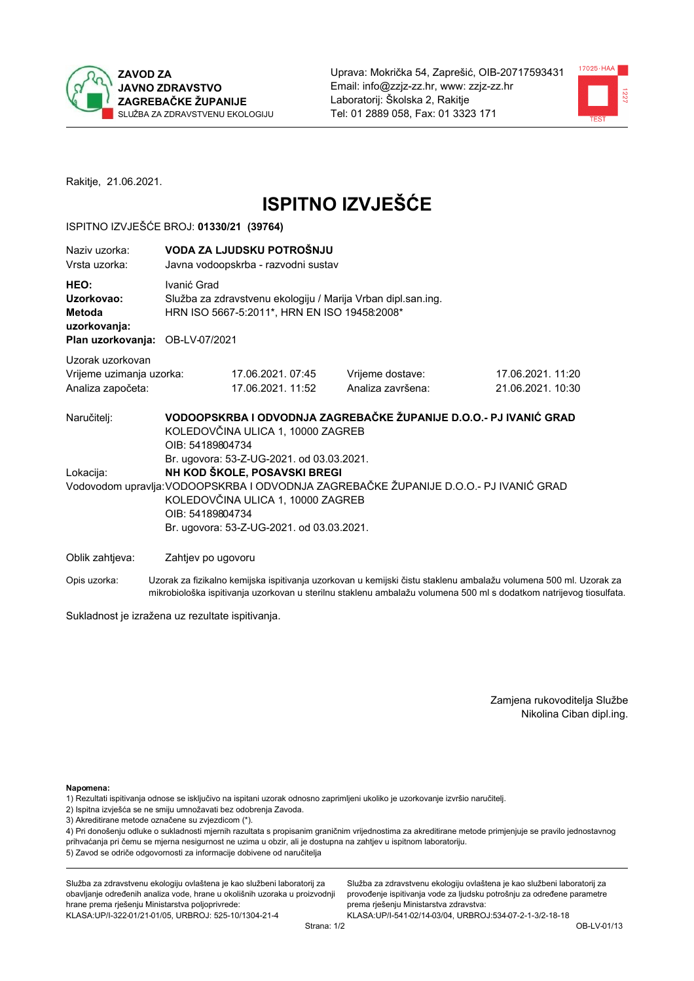



Rakitje, 21.06.2021.

# **ISPITNO IZVJEŠĆE**

## ISPITNO IZVJEŠĆE BROJ: 01330/21 (39764)

| Naziv uzorka:<br>Vrsta uzorka:                                                  | VODA ZA LJUDSKU POTROŠNJU<br>Javna vodoopskrba - razvodni sustav                                                                                                                                                                                                         |                                                                                                              |                                                                   |                                      |  |
|---------------------------------------------------------------------------------|--------------------------------------------------------------------------------------------------------------------------------------------------------------------------------------------------------------------------------------------------------------------------|--------------------------------------------------------------------------------------------------------------|-------------------------------------------------------------------|--------------------------------------|--|
| HEO:<br>Uzorkovao:<br>Metoda<br>uzorkovanja:<br>Plan uzorkovanja: OB-LV-07/2021 | Ivanić Grad                                                                                                                                                                                                                                                              | Služba za zdravstvenu ekologiju / Marija Vrban dipl.san.ing.<br>HRN ISO 5667-5:2011*, HRN EN ISO 19458:2008* |                                                                   |                                      |  |
| Uzorak uzorkovan<br>Vrijeme uzimanja uzorka:<br>Analiza započeta:               |                                                                                                                                                                                                                                                                          | 17.06.2021.07:45<br>17.06.2021. 11:52                                                                        | Vrijeme dostave:<br>Analiza završena:                             | 17.06.2021.11:20<br>21.06.2021.10:30 |  |
| Naručitelj:                                                                     | OIB: 54189804734                                                                                                                                                                                                                                                         | KOLEDOVČINA ULICA 1, 10000 ZAGREB                                                                            | VODOOPSKRBA I ODVODNJA ZAGREBAČKE ŽUPANIJE D.O.O.- PJ IVANIĆ GRAD |                                      |  |
| Lokacija:                                                                       | Br. ugovora: 53-Z-UG-2021. od 03.03.2021.<br>NH KOD ŠKOLE, POSAVSKI BREGI<br>Vodovodom upravlja: VODOOPSKRBA I ODVODNJA ZAGREBAČKE ŽUPANIJE D.O.O.- PJ IVANIĆ GRAD<br>KOLEDOVČINA ULICA 1, 10000 ZAGREB<br>OIB: 54189804734<br>Br. ugovora: 53-Z-UG-2021. od 03.03.2021. |                                                                                                              |                                                                   |                                      |  |
| Oblik zahtjeva:                                                                 | Zahtjev po ugovoru                                                                                                                                                                                                                                                       |                                                                                                              |                                                                   |                                      |  |

Opis uzorka: Uzorak za fizikalno kemijska ispitivanja uzorkovan u kemijski čistu staklenu ambalažu volumena 500 ml. Uzorak za mikrobiološka ispitivanja uzorkovan u sterilnu staklenu ambalažu volumena 500 ml s dodatkom natrijevog tiosulfata.

Sukladnost je izražena uz rezultate ispitivanja.

Zamjena rukovoditelja Službe Nikolina Ciban dipl.ing.

Napomena:

1) Rezultati ispitivanja odnose se isključivo na ispitani uzorak odnosno zaprimljeni ukoliko je uzorkovanje izvršio naručitelj.

- 2) Ispitna izvješća se ne smiju umnožavati bez odobrenja Zavoda.
- 3) Akreditirane metode označene su zvjezdicom (\*).

4) Pri donošenju odluke o sukladnosti mjernih razultata s propisanim graničnim vrijednostima za akreditirane metode primjenjuje se pravilo jednostavnog prihvaćanja pri čemu se mjerna nesigurnost ne uzima u obzir, ali je dostupna na zahtjev u ispitnom laboratoriju. 5) Zavod se odriče odgovornosti za informacije dobivene od naručitelja

Služba za zdravstvenu ekologiju ovlaštena je kao službeni laboratorij za obavljanje određenih analiza vode, hrane u okolišnih uzoraka u proizvodnji hrane prema rješenju Ministarstva poljoprivrede: KLASA: UP/I-322-01/21-01/05, URBROJ: 525-10/1304-21-4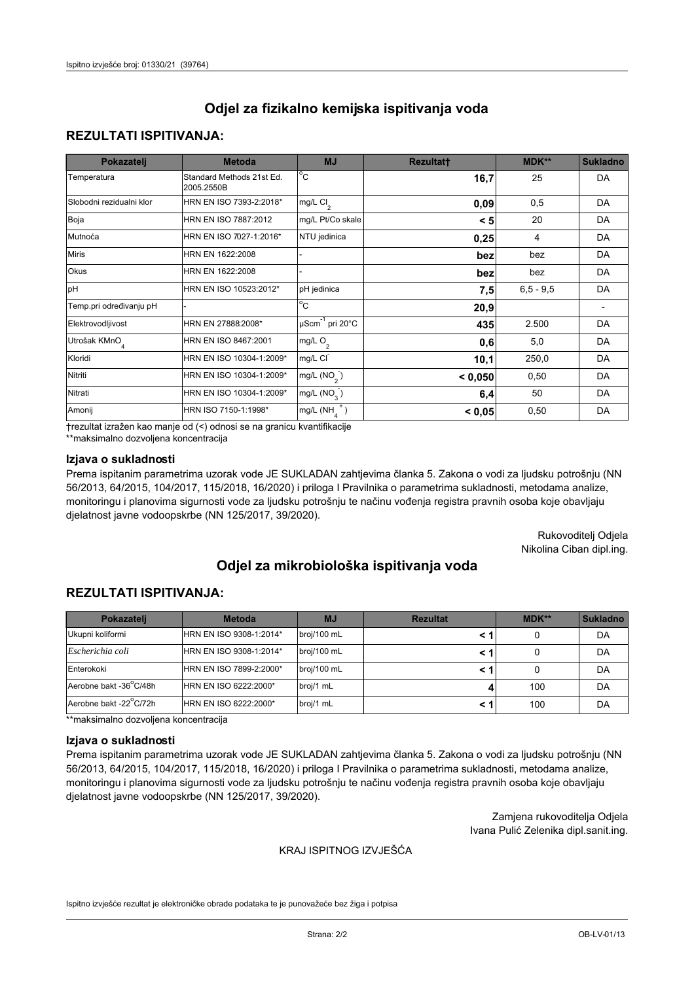## **REZULTATI ISPITIVANJA:**

| Pokazatelj                | <b>Metoda</b>                           | <b>MJ</b>                                | <b>Rezultatt</b> | <b>MDK**</b> | <b>Sukladno</b> |
|---------------------------|-----------------------------------------|------------------------------------------|------------------|--------------|-----------------|
| Temperatura               | Standard Methods 21st Ed.<br>2005.2550B | $\overline{C}$                           | 16,7             | 25           | DA              |
| Slobodni rezidualni klor  | HRN EN ISO 7393-2:2018*                 | $\overline{\text{mg/L}}$ Cl <sub>2</sub> | 0,09             | 0,5          | DA              |
| Boja                      | HRN EN ISO 7887:2012                    | mg/L Pt/Co skale                         | < 5              | 20           | DA              |
| Mutnoća                   | HRN EN ISO 7027-1:2016*                 | NTU jedinica                             | 0,25             | 4            | DA              |
| <b>Miris</b>              | HRN EN 1622:2008                        |                                          | bez              | bez          | DA              |
| Okus                      | HRN EN 1622:2008                        |                                          | bez              | bez          | DA              |
| pH                        | HRN EN ISO 10523:2012*                  | pH jedinica                              | 7,5              | $6.5 - 9.5$  | DA              |
| Temp.pri određivanju pH   |                                         | $\overline{c}$                           | 20,9             |              |                 |
| Elektrovodljivost         | HRN EN 27888:2008*                      | $\mu$ Scm <sup>-1</sup> pri 20°C         | 435              | 2.500        | DA              |
| Utrošak KMnO <sub>4</sub> | HRN EN ISO 8467:2001                    | mg/L $O_2$                               | 0,6              | 5,0          | DA              |
| Kloridi                   | HRN EN ISO 10304-1:2009*                | mg/L CI                                  | 10,1             | 250,0        | DA              |
| Nitriti                   | HRN EN ISO 10304-1:2009*                | mg/L $(NO2)$                             | < 0,050          | 0,50         | DA              |
| Nitrati                   | HRN EN ISO 10304-1:2009*                | mg/L $(NO3)$                             | 6,4              | 50           | DA              |
| Amonij                    | HRN ISO 7150-1:1998*                    | mg/L $(NH_{\lambda}^{\dagger})$          | < 0,05           | 0,50         | DA              |

trezultat izražen kao manje od (<) odnosi se na granicu kvantifikacije

\*\*maksimalno dozvoljena koncentracija

## Izjava o sukladnosti

Prema ispitanim parametrima uzorak vode JE SUKLADAN zahtjevima članka 5. Zakona o vodi za ljudsku potrošnju (NN 56/2013, 64/2015, 104/2017, 115/2018, 16/2020) i priloga I Pravilnika o parametrima sukladnosti, metodama analize, monitoringu i planovima sigurnosti vode za ljudsku potrošnju te načinu vođenja registra pravnih osoba koje obavljaju djelatnost javne vodoopskrbe (NN 125/2017, 39/2020).

> Rukovoditelj Odjela Nikolina Ciban dipl.ing.

# Odjel za mikrobiološka ispitivanja voda

# **REZULTATI ISPITIVANJA:**

| Pokazatelj             | <b>Metoda</b>           | <b>MJ</b>   | <b>Rezultat</b> | MDK** | <b>Sukladno</b> |
|------------------------|-------------------------|-------------|-----------------|-------|-----------------|
| Ukupni koliformi       | HRN EN ISO 9308-1:2014* | broj/100 mL |                 |       | DA              |
| Escherichia coli       | HRN EN ISO 9308-1:2014* | broj/100 mL |                 |       | DA              |
| Enterokoki             | HRN EN ISO 7899-2:2000* | broj/100 mL |                 |       | DA              |
| Aerobne bakt -36°C/48h | HRN EN ISO 6222:2000*   | broj/1 mL   |                 | 100   | DA              |
| Aerobne bakt -22°C/72h | HRN EN ISO 6222:2000*   | broj/1 mL   |                 | 100   | DA              |

\*\*maksimalno dozvoljena koncentracija

#### Izjava o sukladnosti

Prema ispitanim parametrima uzorak vode JE SUKLADAN zahtjevima članka 5. Zakona o vodi za ljudsku potrošnju (NN 56/2013, 64/2015, 104/2017, 115/2018, 16/2020) i priloga I Pravilnika o parametrima sukladnosti, metodama analize, monitoringu i planovima sigurnosti vode za ljudsku potrošnju te načinu vođenja registra pravnih osoba koje obavljaju djelatnost javne vodoopskrbe (NN 125/2017, 39/2020).

> Zamjena rukovoditelja Odjela Ivana Pulić Zelenika dipl.sanit.ing.

#### KRAJ ISPITNOG IZVJEŠĆA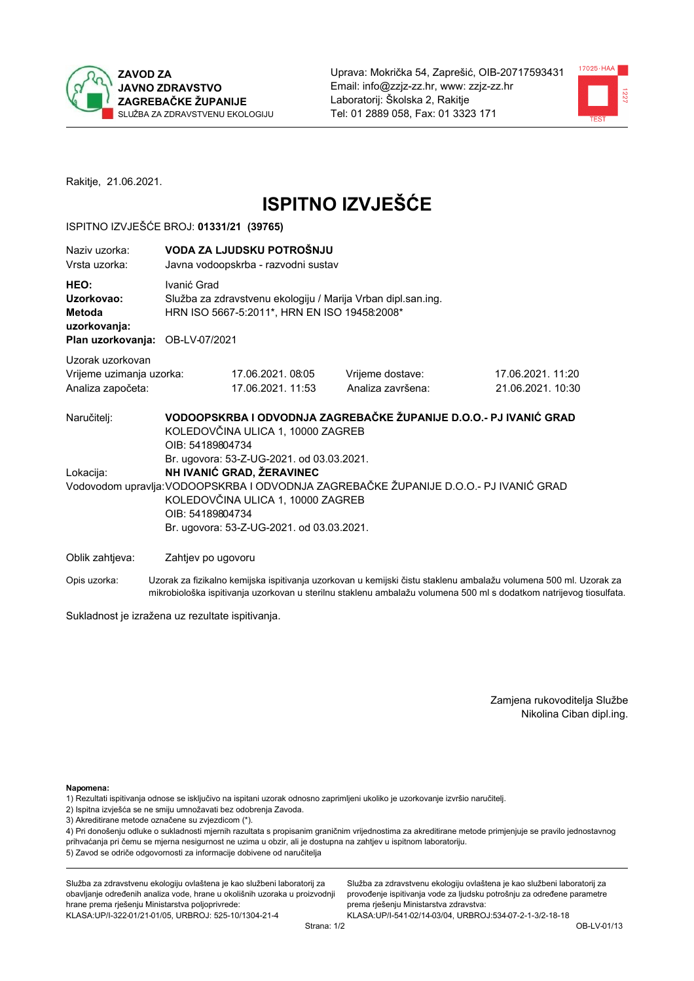



Rakitje, 21.06.2021.

# **ISPITNO IZVJEŠĆE**

## ISPITNO IZVJEŠĆE BROJ: 01331/21 (39765)

| Naziv uzorka:<br>Vrsta uzorka:                                                  | VODA ZA LJUDSKU POTROŠNJU<br>Javna vodoopskrba - razvodni sustav                                                                                                                                                                                                      |                                                                                                              |                                                                   |                                      |  |
|---------------------------------------------------------------------------------|-----------------------------------------------------------------------------------------------------------------------------------------------------------------------------------------------------------------------------------------------------------------------|--------------------------------------------------------------------------------------------------------------|-------------------------------------------------------------------|--------------------------------------|--|
| HEO:<br>Uzorkovao:<br>Metoda<br>uzorkovanja:<br>Plan uzorkovanja: OB-LV-07/2021 | Ivanić Grad                                                                                                                                                                                                                                                           | Služba za zdravstvenu ekologiju / Marija Vrban dipl.san.ing.<br>HRN ISO 5667-5:2011*, HRN EN ISO 19458:2008* |                                                                   |                                      |  |
| Uzorak uzorkovan<br>Vrijeme uzimanja uzorka:<br>Analiza započeta:               |                                                                                                                                                                                                                                                                       | 17.06.2021.08:05<br>17.06.2021. 11:53                                                                        | Vrijeme dostave:<br>Analiza završena:                             | 17.06.2021.11:20<br>21.06.2021.10:30 |  |
| Naručitelj:                                                                     | OIB: 54189804734                                                                                                                                                                                                                                                      | KOLEDOVČINA ULICA 1, 10000 ZAGREB                                                                            | VODOOPSKRBA I ODVODNJA ZAGREBAČKE ŽUPANIJE D.O.O.- PJ IVANIĆ GRAD |                                      |  |
| Lokacija:                                                                       | Br. ugovora: 53-Z-UG-2021. od 03.03.2021.<br>NH IVANIĆ GRAD, ŽERAVINEC<br>Vodovodom upravlja: VODOOPSKRBA I ODVODNJA ZAGREBAČKE ŽUPANIJE D.O.O.- PJ IVANIĆ GRAD<br>KOLEDOVČINA ULICA 1, 10000 ZAGREB<br>OIB: 54189804734<br>Br. ugovora: 53-Z-UG-2021. od 03.03.2021. |                                                                                                              |                                                                   |                                      |  |
| Oblik zahtjeva:                                                                 | Zahtjev po ugovoru                                                                                                                                                                                                                                                    |                                                                                                              |                                                                   |                                      |  |

Opis uzorka: Uzorak za fizikalno kemijska ispitivanja uzorkovan u kemijski čistu staklenu ambalažu volumena 500 ml. Uzorak za mikrobiološka ispitivanja uzorkovan u sterilnu staklenu ambalažu volumena 500 ml s dodatkom natrijevog tiosulfata.

Sukladnost je izražena uz rezultate ispitivanja.

Zamjena rukovoditelja Službe Nikolina Ciban dipl.ing.

Napomena:

- 1) Rezultati ispitivanja odnose se isključivo na ispitani uzorak odnosno zaprimljeni ukoliko je uzorkovanje izvršio naručitelj.
- 2) Ispitna izvješća se ne smiju umnožavati bez odobrenja Zavoda.
- 3) Akreditirane metode označene su zvjezdicom (\*).

4) Pri donošenju odluke o sukladnosti mjernih razultata s propisanim graničnim vrijednostima za akreditirane metode primjenjuje se pravilo jednostavnog prihvaćanja pri čemu se mjerna nesigurnost ne uzima u obzir, ali je dostupna na zahtjev u ispitnom laboratoriju. 5) Zavod se odriče odgovornosti za informacije dobivene od naručitelja

Služba za zdravstvenu ekologiju ovlaštena je kao službeni laboratorij za obavljanje određenih analiza vode, hrane u okolišnih uzoraka u proizvodnji hrane prema rješenju Ministarstva poljoprivrede: KLASA: UP/I-322-01/21-01/05, URBROJ: 525-10/1304-21-4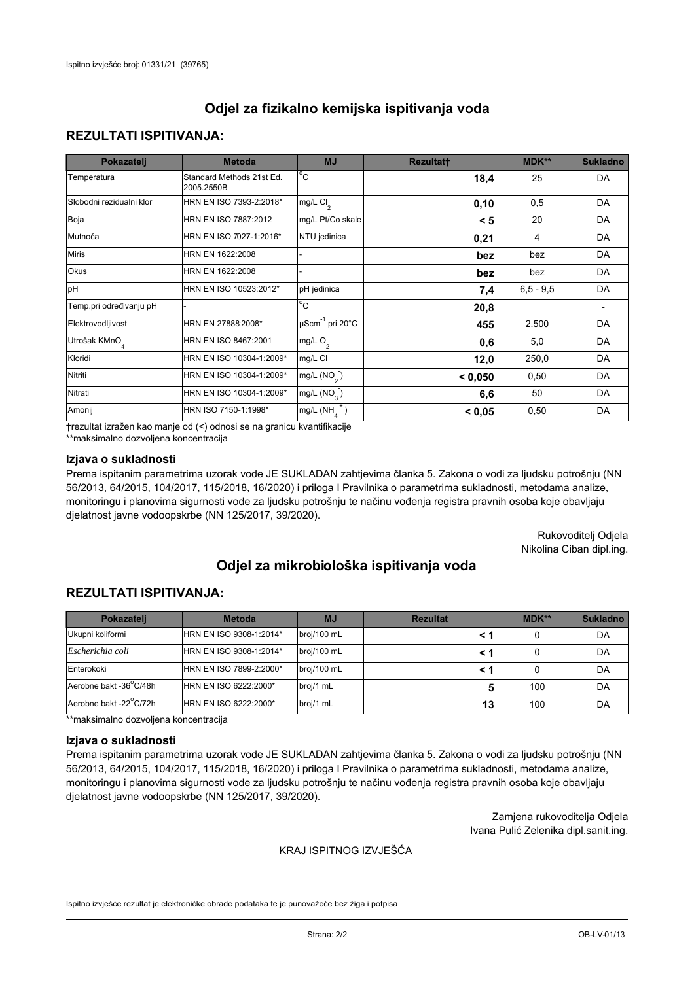## **REZULTATI ISPITIVANJA:**

| Pokazatelj                | <b>Metoda</b>                           | <b>MJ</b>                        | <b>Rezultatt</b> | MDK**       | <b>Sukladno</b> |
|---------------------------|-----------------------------------------|----------------------------------|------------------|-------------|-----------------|
| Temperatura               | Standard Methods 21st Ed.<br>2005.2550B | $^{\circ}$ C                     | 18,4             | 25          | DA              |
| Slobodni rezidualni klor  | HRN EN ISO 7393-2:2018*                 | mg/L $Cl2$                       | 0, 10            | 0,5         | DA              |
| Boja                      | HRN EN ISO 7887:2012                    | mg/L Pt/Co skale                 | < 5              | 20          | DA              |
| Mutnoća                   | HRN EN ISO 7027-1:2016*                 | NTU jedinica                     | 0,21             | 4           | DA              |
| <b>Miris</b>              | HRN EN 1622:2008                        |                                  | bez              | bez         | DA              |
| Okus                      | HRN EN 1622:2008                        |                                  | bez              | bez         | DA              |
| pH                        | HRN EN ISO 10523:2012*                  | pH jedinica                      | 7,4              | $6,5 - 9,5$ | DA              |
| Temp.pri određivanju pH   |                                         | $\overline{c}$                   | 20,8             |             |                 |
| Elektrovodljivost         | HRN EN 27888:2008*                      | $\mu$ Scm <sup>-1</sup> pri 20°C | 455              | 2.500       | DA              |
| Utrošak KMnO <sub>4</sub> | HRN EN ISO 8467:2001                    | mg/L O <sub>2</sub>              | 0,6              | 5,0         | DA              |
| Kloridi                   | HRN EN ISO 10304-1:2009*                | mg/L CI                          | 12,0             | 250,0       | DA              |
| Nitriti                   | HRN EN ISO 10304-1:2009*                | mg/L (NO <sub>2</sub> )          | < 0,050          | 0,50        | DA              |
| Nitrati                   | HRN EN ISO 10304-1:2009*                | mg/L (NO <sub>3</sub> )          | 6,6              | 50          | DA              |
| Amonij                    | HRN ISO 7150-1:1998*                    | $mg/L(NH_A^+)$                   | < 0,05           | 0,50        | DA              |

trezultat izražen kao manje od (<) odnosi se na granicu kvantifikacije

\*\*maksimalno dozvoljena koncentracija

### Izjava o sukladnosti

Prema ispitanim parametrima uzorak vode JE SUKLADAN zahtjevima članka 5. Zakona o vodi za ljudsku potrošnju (NN 56/2013, 64/2015, 104/2017, 115/2018, 16/2020) i priloga I Pravilnika o parametrima sukladnosti, metodama analize, monitoringu i planovima sigurnosti vode za ljudsku potrošnju te načinu vođenja registra pravnih osoba koje obavljaju djelatnost javne vodoopskrbe (NN 125/2017, 39/2020).

> Rukovoditelj Odjela Nikolina Ciban dipl.ing.

# Odjel za mikrobiološka ispitivanja voda

# **REZULTATI ISPITIVANJA:**

| Pokazatelj             | <b>Metoda</b>           | <b>MJ</b>   | <b>Rezultat</b> | <b>MDK**</b> | <b>Sukladno</b> |
|------------------------|-------------------------|-------------|-----------------|--------------|-----------------|
| Ukupni koliformi       | HRN EN ISO 9308-1:2014* | broj/100 mL |                 |              | DA              |
| Escherichia coli       | HRN EN ISO 9308-1:2014* | broj/100 mL |                 |              | DA              |
| Enterokoki             | HRN EN ISO 7899-2:2000* | broj/100 mL |                 |              | DA              |
| Aerobne bakt -36°C/48h | HRN EN ISO 6222:2000*   | broj/1 mL   |                 | 100          | DA              |
| Aerobne bakt -22°C/72h | HRN EN ISO 6222:2000*   | broj/1 mL   | 13              | 100          | DA              |

\*\*maksimalno dozvoljena koncentracija

#### Izjava o sukladnosti

Prema ispitanim parametrima uzorak vode JE SUKLADAN zahtjevima članka 5. Zakona o vodi za ljudsku potrošnju (NN 56/2013, 64/2015, 104/2017, 115/2018, 16/2020) i priloga I Pravilnika o parametrima sukladnosti, metodama analize, monitoringu i planovima sigurnosti vode za ljudsku potrošnju te načinu vođenja registra pravnih osoba koje obavljaju djelatnost javne vodoopskrbe (NN 125/2017, 39/2020).

> Zamjena rukovoditelja Odjela Ivana Pulić Zelenika dipl.sanit.ing.

### KRAJ ISPITNOG IZVJEŠĆA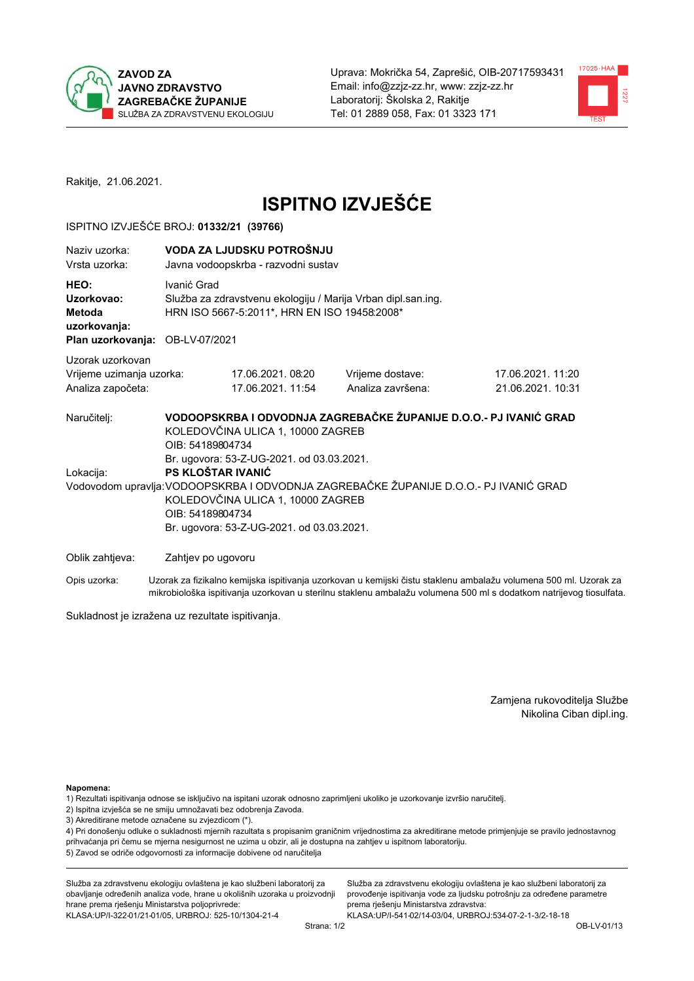



Rakitje, 21.06.2021.

# **ISPITNO IZVJEŠĆE**

## ISPITNO IZVJEŠĆE BROJ: 01332/21 (39766)

| Naziy uzorka:<br>Vrsta uzorka:                                                  |                                      | VODA ZA LJUDSKU POTROŠNJU<br>Javna vodoopskrba - razvodni sustav                                                                                                                      |                                                                                                                                                            |                                                                                                                  |  |  |
|---------------------------------------------------------------------------------|--------------------------------------|---------------------------------------------------------------------------------------------------------------------------------------------------------------------------------------|------------------------------------------------------------------------------------------------------------------------------------------------------------|------------------------------------------------------------------------------------------------------------------|--|--|
| HEO:<br>Uzorkovao:<br>Metoda<br>uzorkovanja:<br>Plan uzorkovanja: OB-LV-07/2021 |                                      | Ivanić Grad<br>Služba za zdravstvenu ekologiju / Marija Vrban dipl.san.ing.<br>HRN ISO 5667-5:2011*, HRN EN ISO 19458:2008*                                                           |                                                                                                                                                            |                                                                                                                  |  |  |
|                                                                                 |                                      |                                                                                                                                                                                       |                                                                                                                                                            |                                                                                                                  |  |  |
| Uzorak uzorkovan<br>Vrijeme uzimanja uzorka:<br>Analiza započeta:               |                                      | 17.06.2021.08:20<br>17.06.2021. 11:54                                                                                                                                                 | Vrijeme dostave:<br>Analiza završena:                                                                                                                      | 17.06.2021. 11:20<br>21.06.2021. 10:31                                                                           |  |  |
| Naručitelj:<br>Lokacija:                                                        | OIB: 54189804734<br>OIB: 54189804734 | KOLEDOVČINA ULICA 1, 10000 ZAGREB<br>Br. ugovora: 53-Z-UG-2021. od 03.03.2021.<br>PS KLOŠTAR IVANIĆ<br>KOLEDOVČINA ULICA 1, 10000 ZAGREB<br>Br. ugovora: 53-Z-UG-2021. od 03.03.2021. | VODOOPSKRBA I ODVODNJA ZAGREBAČKE ŽUPANIJE D.O.O.- PJ IVANIĆ GRAD<br>Vodovodom upravlja: VODOOPSKRBA I ODVODNJA ZAGREBAČKE ŽUPANIJE D.O.O.- PJ IVANIĆ GRAD |                                                                                                                  |  |  |
| Oblik zahtjeva:                                                                 | Zahtjev po ugovoru                   |                                                                                                                                                                                       |                                                                                                                                                            |                                                                                                                  |  |  |
| Opis uzorka:                                                                    |                                      |                                                                                                                                                                                       |                                                                                                                                                            | Uzorak za fizikalno kemijska ispitivanja uzorkovan u kemijski čistu staklenu ambalažu volumena 500 ml. Uzorak za |  |  |

mikrobiološka ispitivanja uzorkovan u sterilnu staklenu ambalažu volumena 500 ml s dodatkom natrijevog tiosulfata.

Sukladnost je izražena uz rezultate ispitivanja.

Zamjena rukovoditelja Službe Nikolina Ciban dipl.ing.

Napomena:

- 1) Rezultati ispitivanja odnose se isključivo na ispitani uzorak odnosno zaprimljeni ukoliko je uzorkovanje izvršio naručitelj.
- 2) Ispitna izvješća se ne smiju umnožavati bez odobrenja Zavoda.
- 3) Akreditirane metode označene su zvjezdicom (\*).

4) Pri donošenju odluke o sukladnosti mjernih razultata s propisanim graničnim vrijednostima za akreditirane metode primjenjuje se pravilo jednostavnog prihvaćanja pri čemu se mjerna nesigurnost ne uzima u obzir, ali je dostupna na zahtjev u ispitnom laboratoriju. 5) Zavod se odriče odgovornosti za informacije dobivene od naručitelja

Služba za zdravstvenu ekologiju ovlaštena je kao službeni laboratorij za obavljanje određenih analiza vode, hrane u okolišnih uzoraka u proizvodnji hrane prema rješenju Ministarstva poljoprivrede: KLASA: UP/I-322-01/21-01/05, URBROJ: 525-10/1304-21-4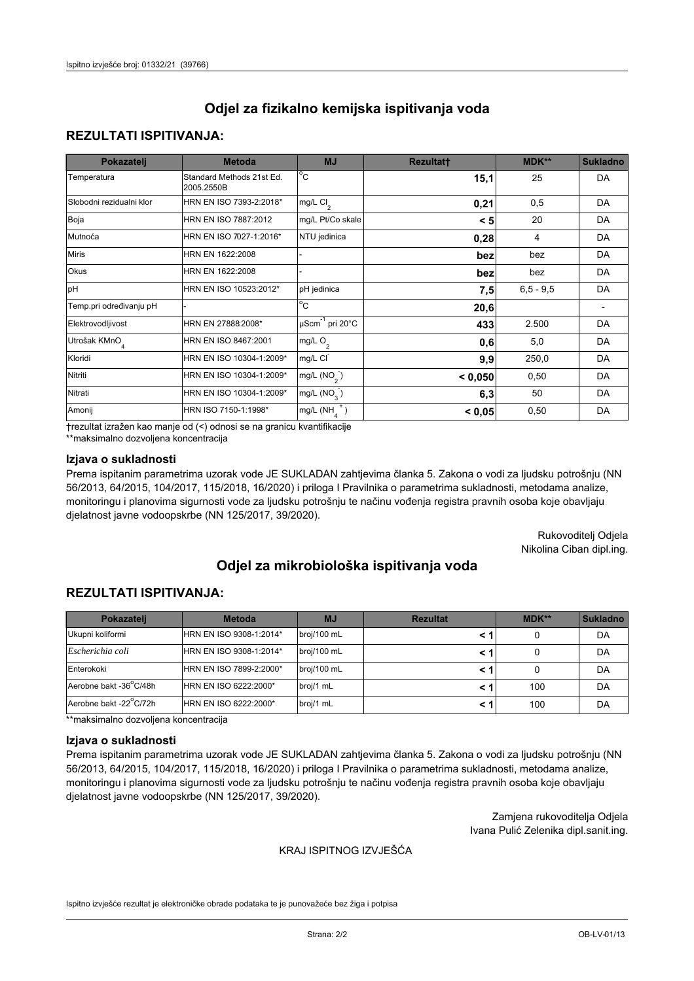## **REZULTATI ISPITIVANJA:**

| Pokazatelj                | <b>Metoda</b>                           | <b>MJ</b>                                | <b>Rezultatt</b> | <b>MDK**</b> | <b>Sukladno</b> |
|---------------------------|-----------------------------------------|------------------------------------------|------------------|--------------|-----------------|
| Temperatura               | Standard Methods 21st Ed.<br>2005.2550B | $\overline{C}$                           | 15,1             | 25           | DA              |
| Slobodni rezidualni klor  | HRN EN ISO 7393-2:2018*                 | $\overline{\text{mg/L}}$ Cl <sub>2</sub> | 0,21             | 0,5          | DA              |
| Boja                      | HRN EN ISO 7887:2012                    | mg/L Pt/Co skale                         | < 5              | 20           | DA              |
| Mutnoća                   | HRN EN ISO 7027-1:2016*                 | NTU jedinica                             | 0,28             | 4            | DA              |
| <b>Miris</b>              | HRN EN 1622:2008                        |                                          | bez              | bez          | DA              |
| Okus                      | HRN EN 1622:2008                        |                                          | bez              | bez          | DA              |
| pH                        | HRN EN ISO 10523:2012*                  | pH jedinica                              | 7,5              | $6.5 - 9.5$  | DA              |
| Temp.pri određivanju pH   |                                         | $\overline{c}$                           | 20,6             |              |                 |
| Elektrovodljivost         | HRN EN 27888:2008*                      | $\mu$ Scm <sup>-1</sup> pri 20°C         | 433              | 2.500        | DA              |
| Utrošak KMnO <sub>4</sub> | HRN EN ISO 8467:2001                    | mg/L $O_2$                               | 0,6              | 5,0          | DA              |
| Kloridi                   | HRN EN ISO 10304-1:2009*                | mg/L CI                                  | 9,9              | 250,0        | DA              |
| Nitriti                   | HRN EN ISO 10304-1:2009*                | mg/L (NO <sub>2</sub> )                  | < 0.050          | 0,50         | DA              |
| Nitrati                   | HRN EN ISO 10304-1:2009*                | mg/L $(NO3)$                             | 6,3              | 50           | DA              |
| Amonij                    | HRN ISO 7150-1:1998*                    | mg/L $(NH_{\lambda}^{\dagger})$          | < 0,05           | 0,50         | DA              |

trezultat izražen kao manje od (<) odnosi se na granicu kvantifikacije

\*\*maksimalno dozvoljena koncentracija

### Izjava o sukladnosti

Prema ispitanim parametrima uzorak vode JE SUKLADAN zahtjevima članka 5. Zakona o vodi za ljudsku potrošnju (NN 56/2013, 64/2015, 104/2017, 115/2018, 16/2020) i priloga I Pravilnika o parametrima sukladnosti, metodama analize, monitoringu i planovima sigurnosti vode za ljudsku potrošnju te načinu vođenja registra pravnih osoba koje obavljaju djelatnost javne vodoopskrbe (NN 125/2017, 39/2020).

> Rukovoditelj Odjela Nikolina Ciban dipl.ing.

# Odjel za mikrobiološka ispitivanja voda

# **REZULTATI ISPITIVANJA:**

| Pokazatelj             | <b>Metoda</b>           | <b>MJ</b>   | <b>Rezultat</b> | MDK** | <b>Sukladno</b> |
|------------------------|-------------------------|-------------|-----------------|-------|-----------------|
| Ukupni koliformi       | HRN EN ISO 9308-1:2014* | broj/100 mL |                 |       | DA              |
| Escherichia coli       | HRN EN ISO 9308-1:2014* | broj/100 mL |                 |       | DA              |
| Enterokoki             | HRN EN ISO 7899-2:2000* | broj/100 mL |                 |       | DA              |
| Aerobne bakt -36°C/48h | HRN EN ISO 6222:2000*   | broj/1 mL   |                 | 100   | DA              |
| Aerobne bakt -22°C/72h | HRN EN ISO 6222:2000*   | broj/1 mL   |                 | 100   | DA              |

\*\*maksimalno dozvoljena koncentracija

#### Izjava o sukladnosti

Prema ispitanim parametrima uzorak vode JE SUKLADAN zahtjevima članka 5. Zakona o vodi za ljudsku potrošnju (NN 56/2013, 64/2015, 104/2017, 115/2018, 16/2020) i priloga I Pravilnika o parametrima sukladnosti, metodama analize, monitoringu i planovima sigurnosti vode za ljudsku potrošnju te načinu vođenja registra pravnih osoba koje obavljaju djelatnost javne vodoopskrbe (NN 125/2017, 39/2020).

> Zamjena rukovoditelja Odjela Ivana Pulić Zelenika dipl.sanit.ing.

### KRAJ ISPITNOG IZVJEŠĆA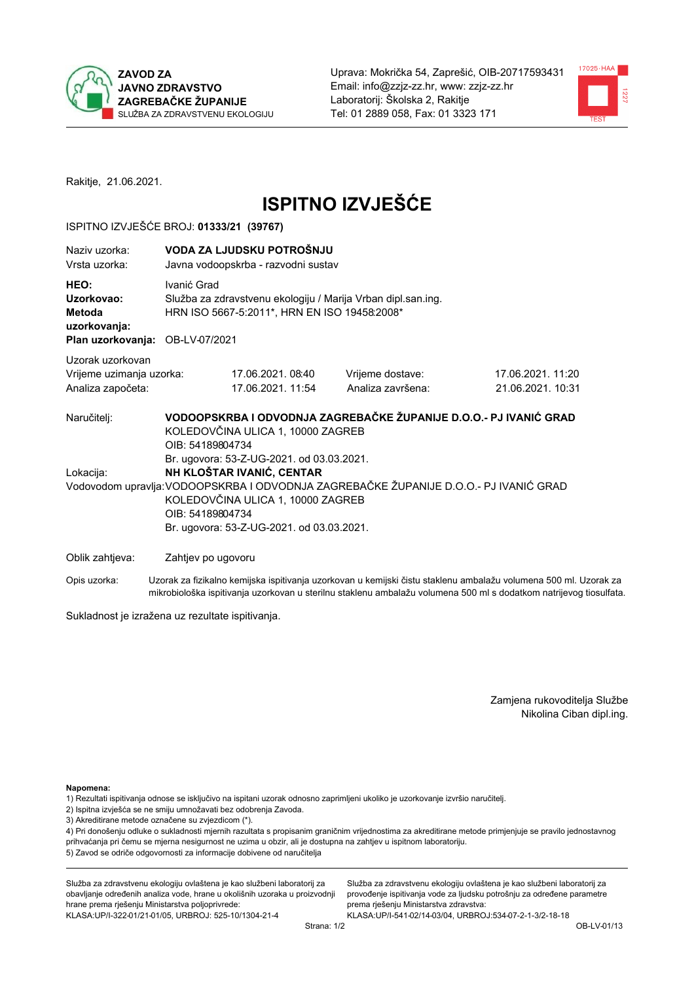



Rakitje, 21.06.2021.

# **ISPITNO IZVJEŠĆE**

## ISPITNO IZVJEŠĆE BROJ: 01333/21 (39767)

| Naziv uzorka:<br>Vrsta uzorka:                                                         | VODA ZA LJUDSKU POTROŠNJU<br>Javna vodoopskrba - razvodni sustav                                                                                                     |                                        |                                                                                                                                                            |                                      |
|----------------------------------------------------------------------------------------|----------------------------------------------------------------------------------------------------------------------------------------------------------------------|----------------------------------------|------------------------------------------------------------------------------------------------------------------------------------------------------------|--------------------------------------|
| HEO:<br>Uzorkovao:<br><b>Metoda</b><br>uzorkovanja:<br>Plan uzorkovanja: OB-LV-07/2021 | Ivanić Grad<br>Služba za zdravstvenu ekologiju / Marija Vrban dipl.san.ing.<br>HRN ISO 5667-5:2011*, HRN EN ISO 19458:2008*                                          |                                        |                                                                                                                                                            |                                      |
| Uzorak uzorkovan<br>Vrijeme uzimanja uzorka:<br>Analiza započeta:                      |                                                                                                                                                                      | 17.06.2021, 08:40<br>17.06.2021. 11:54 | Vrijeme dostave:<br>Analiza završena:                                                                                                                      | 17.06.2021.11:20<br>21.06.2021.10:31 |
| Naručitelj:<br>Lokacija:                                                               | KOLEDOVČINA ULICA 1, 10000 ZAGREB<br>OIB: 54189804734<br>Br. ugovora: 53-Z-UG-2021. od 03.03.2021.<br>NH KLOŠTAR IVANIĆ, CENTAR<br>KOLEDOVČINA ULICA 1, 10000 ZAGREB |                                        | VODOOPSKRBA I ODVODNJA ZAGREBAČKE ŽUPANIJE D.O.O.- PJ IVANIĆ GRAD<br>Vodovodom upravlja: VODOOPSKRBA I ODVODNJA ZAGREBAČKE ŽUPANIJE D.O.O.- PJ IVANIĆ GRAD |                                      |
| Oblik zahtjeva:                                                                        | OIB: 54189804734<br>Br. ugovora: 53-Z-UG-2021. od 03.03.2021.<br>Zahtjev po ugovoru                                                                                  |                                        |                                                                                                                                                            |                                      |

Opis uzorka: Uzorak za fizikalno kemijska ispitivanja uzorkovan u kemijski čistu staklenu ambalažu volumena 500 ml. Uzorak za mikrobiološka ispitivanja uzorkovan u sterilnu staklenu ambalažu volumena 500 ml s dodatkom natrijevog tiosulfata.

Sukladnost je izražena uz rezultate ispitivanja.

Zamjena rukovoditelja Službe Nikolina Ciban dipl.ing.

Napomena:

1) Rezultati ispitivanja odnose se isključivo na ispitani uzorak odnosno zaprimljeni ukoliko je uzorkovanje izvršio naručitelj.

- 2) Ispitna izvješća se ne smiju umnožavati bez odobrenja Zavoda.
- 3) Akreditirane metode označene su zvjezdicom (\*).

4) Pri donošenju odluke o sukladnosti mjernih razultata s propisanim graničnim vrijednostima za akreditirane metode primjenjuje se pravilo jednostavnog prihvaćanja pri čemu se mjerna nesigurnost ne uzima u obzir, ali je dostupna na zahtjev u ispitnom laboratoriju. 5) Zavod se odriče odgovornosti za informacije dobivene od naručitelja

Služba za zdravstvenu ekologiju ovlaštena je kao službeni laboratorij za obavljanje određenih analiza vode, hrane u okolišnih uzoraka u proizvodnji hrane prema rješenju Ministarstva poljoprivrede: KLASA: UP/I-322-01/21-01/05, URBROJ: 525-10/1304-21-4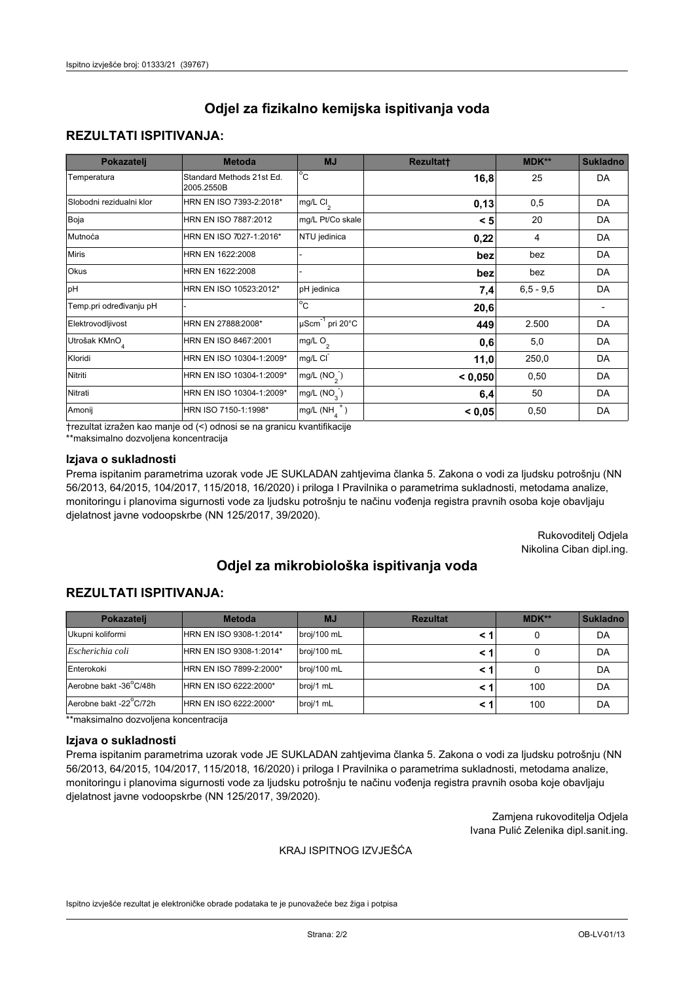# **REZULTATI ISPITIVANJA:**

| Pokazatelj                | <b>Metoda</b>                           | <b>MJ</b>                        | <b>Rezultatt</b> | MDK**       | <b>Sukladno</b> |
|---------------------------|-----------------------------------------|----------------------------------|------------------|-------------|-----------------|
| Temperatura               | Standard Methods 21st Ed.<br>2005.2550B | $^{\circ}$ C                     | 16,8             | 25          | DA              |
| Slobodni rezidualni klor  | HRN EN ISO 7393-2:2018*                 | mg/L $Cl2$                       | 0,13             | 0,5         | DA              |
| Boja                      | HRN EN ISO 7887:2012                    | mg/L Pt/Co skale                 | < 5              | 20          | DA              |
| Mutnoća                   | HRN EN ISO 7027-1:2016*                 | NTU jedinica                     | 0,22             | 4           | DA              |
| <b>Miris</b>              | HRN EN 1622:2008                        |                                  | bez              | bez         | DA              |
| Okus                      | HRN EN 1622:2008                        |                                  | bez              | bez         | DA              |
| pH                        | HRN EN ISO 10523:2012*                  | pH jedinica                      | 7,4              | $6,5 - 9,5$ | DA              |
| Temp.pri određivanju pH   |                                         | $\overline{c}$                   | 20,6             |             |                 |
| Elektrovodljivost         | HRN EN 27888:2008*                      | $\mu$ Scm <sup>-1</sup> pri 20°C | 449              | 2.500       | DA              |
| Utrošak KMnO <sub>4</sub> | HRN EN ISO 8467:2001                    | mg/L O <sub>2</sub>              | 0,6              | 5,0         | DA              |
| Kloridi                   | HRN EN ISO 10304-1:2009*                | mg/L CI                          | 11,0             | 250,0       | DA              |
| Nitriti                   | HRN EN ISO 10304-1:2009*                | mg/L (NO <sub>2</sub> )          | < 0,050          | 0,50        | DA              |
| Nitrati                   | HRN EN ISO 10304-1:2009*                | mg/L (NO <sub>3</sub> )          | 6,4              | 50          | DA              |
| Amonij                    | HRN ISO 7150-1:1998*                    | $mg/L(NH_A^+)$                   | < 0,05           | 0,50        | DA              |

trezultat izražen kao manje od (<) odnosi se na granicu kvantifikacije

\*\*maksimalno dozvoljena koncentracija

### Izjava o sukladnosti

Prema ispitanim parametrima uzorak vode JE SUKLADAN zahtjevima članka 5. Zakona o vodi za ljudsku potrošnju (NN 56/2013, 64/2015, 104/2017, 115/2018, 16/2020) i priloga I Pravilnika o parametrima sukladnosti, metodama analize, monitoringu i planovima sigurnosti vode za ljudsku potrošnju te načinu vođenja registra pravnih osoba koje obavljaju djelatnost javne vodoopskrbe (NN 125/2017, 39/2020).

> Rukovoditelj Odjela Nikolina Ciban dipl.ing.

# Odjel za mikrobiološka ispitivanja voda

# **REZULTATI ISPITIVANJA:**

| Pokazatelj             | <b>Metoda</b>           | <b>MJ</b>   | <b>Rezultat</b> | MDK** | <b>Sukladno</b> |
|------------------------|-------------------------|-------------|-----------------|-------|-----------------|
| Ukupni koliformi       | HRN EN ISO 9308-1:2014* | broj/100 mL |                 |       | DA              |
| Escherichia coli       | HRN EN ISO 9308-1:2014* | broj/100 mL |                 |       | DA              |
| Enterokoki             | HRN EN ISO 7899-2:2000* | broj/100 mL |                 |       | DA              |
| Aerobne bakt -36°C/48h | HRN EN ISO 6222:2000*   | broj/1 mL   |                 | 100   | DA              |
| Aerobne bakt -22°C/72h | HRN EN ISO 6222:2000*   | broj/1 mL   |                 | 100   | DA              |

\*\*maksimalno dozvoljena koncentracija

#### Izjava o sukladnosti

Prema ispitanim parametrima uzorak vode JE SUKLADAN zahtjevima članka 5. Zakona o vodi za ljudsku potrošnju (NN 56/2013, 64/2015, 104/2017, 115/2018, 16/2020) i priloga I Pravilnika o parametrima sukladnosti, metodama analize, monitoringu i planovima sigurnosti vode za ljudsku potrošnju te načinu vođenja registra pravnih osoba koje obavljaju djelatnost javne vodoopskrbe (NN 125/2017, 39/2020).

> Zamjena rukovoditelja Odjela Ivana Pulić Zelenika dipl.sanit.ing.

### KRAJ ISPITNOG IZVJEŠĆA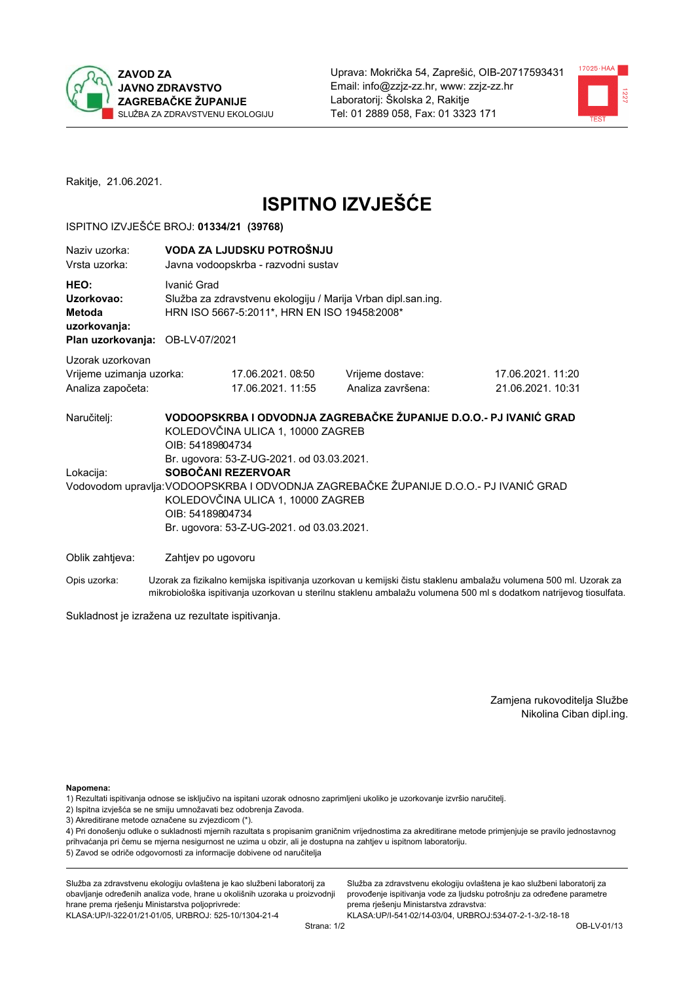



Rakitje, 21.06.2021.

# **ISPITNO IZVJEŠĆE**

## ISPITNO IZVJEŠĆE BROJ: 01334/21 (39768)

| Naziv uzorka:<br>Vrsta uzorka:                                                  |                                      | VODA ZA LJUDSKU POTROŠNJU<br>Javna vodoopskrba - razvodni sustav                                                                                                                       |                                                                                                                                                            |                                                                                                                  |  |  |  |
|---------------------------------------------------------------------------------|--------------------------------------|----------------------------------------------------------------------------------------------------------------------------------------------------------------------------------------|------------------------------------------------------------------------------------------------------------------------------------------------------------|------------------------------------------------------------------------------------------------------------------|--|--|--|
| HEO:<br>Uzorkovao:<br>Metoda<br>uzorkovanja:<br>Plan uzorkovanja: OB-LV-07/2021 | Ivanić Grad                          | Služba za zdravstvenu ekologiju / Marija Vrban dipl.san.ing.<br>HRN ISO 5667-5:2011*, HRN EN ISO 19458:2008*                                                                           |                                                                                                                                                            |                                                                                                                  |  |  |  |
| Uzorak uzorkovan                                                                |                                      |                                                                                                                                                                                        |                                                                                                                                                            |                                                                                                                  |  |  |  |
| Vrijeme uzimanja uzorka:<br>Analiza započeta:                                   |                                      | 17.06.2021.08:50<br>17.06.2021.11:55                                                                                                                                                   | Vrijeme dostave:<br>Analiza završena:                                                                                                                      | 17.06.2021. 11:20<br>21.06.2021. 10:31                                                                           |  |  |  |
| Naručitelj:<br>Lokacija:                                                        | OIB: 54189804734<br>OIB: 54189804734 | KOLEDOVČINA ULICA 1, 10000 ZAGREB<br>Br. ugovora: 53-Z-UG-2021. od 03.03.2021.<br>SOBOČANI REZERVOAR<br>KOLEDOVČINA ULICA 1, 10000 ZAGREB<br>Br. ugovora: 53-Z-UG-2021. od 03.03.2021. | VODOOPSKRBA I ODVODNJA ZAGREBAČKE ŽUPANIJE D.O.O.- PJ IVANIĆ GRAD<br>Vodovodom upravlja: VODOOPSKRBA I ODVODNJA ZAGREBAČKE ŽUPANIJE D.O.O.- PJ IVANIĆ GRAD |                                                                                                                  |  |  |  |
| Oblik zahtjeva:                                                                 | Zahtjev po ugovoru                   |                                                                                                                                                                                        |                                                                                                                                                            |                                                                                                                  |  |  |  |
| Opis uzorka:                                                                    |                                      |                                                                                                                                                                                        |                                                                                                                                                            | Uzorak za fizikalno kemijska ispitivanja uzorkovan u kemijski čistu staklenu ambalažu volumena 500 ml. Uzorak za |  |  |  |

mikrobiološka ispitivanja uzorkovan u sterilnu staklenu ambalažu volumena 500 ml s dodatkom natrijevog tiosulfata.

Sukladnost je izražena uz rezultate ispitivanja.

Zamjena rukovoditelja Službe Nikolina Ciban dipl.ing.

Napomena:

1) Rezultati ispitivanja odnose se isključivo na ispitani uzorak odnosno zaprimljeni ukoliko je uzorkovanje izvršio naručitelj.

- 2) Ispitna izvješća se ne smiju umnožavati bez odobrenja Zavoda.
- 3) Akreditirane metode označene su zvjezdicom (\*).

4) Pri donošenju odluke o sukladnosti mjernih razultata s propisanim graničnim vrijednostima za akreditirane metode primjenjuje se pravilo jednostavnog prihvaćanja pri čemu se mjerna nesigurnost ne uzima u obzir, ali je dostupna na zahtjev u ispitnom laboratoriju. 5) Zavod se odriče odgovornosti za informacije dobivene od naručitelja

Služba za zdravstvenu ekologiju ovlaštena je kao službeni laboratorij za obavljanje određenih analiza vode, hrane u okolišnih uzoraka u proizvodnji hrane prema rješenju Ministarstva poljoprivrede: KLASA: UP/I-322-01/21-01/05, URBROJ: 525-10/1304-21-4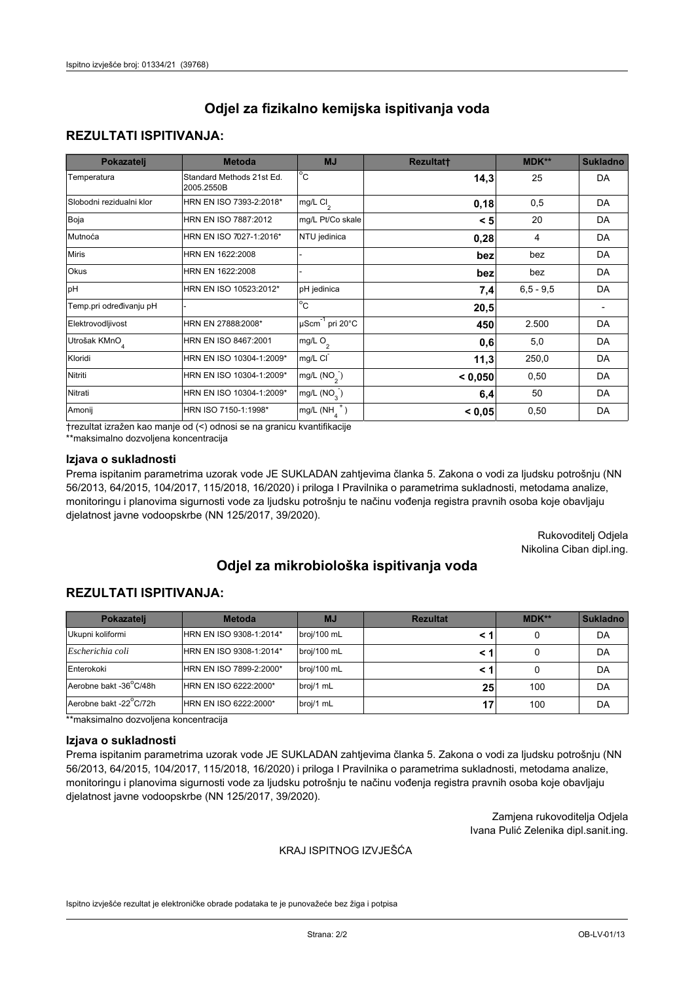## **REZULTATI ISPITIVANJA:**

| Pokazatelj                | <b>Metoda</b>                           | <b>MJ</b>                                | <b>Rezultatt</b> | <b>MDK**</b> | <b>Sukladno</b> |
|---------------------------|-----------------------------------------|------------------------------------------|------------------|--------------|-----------------|
| Temperatura               | Standard Methods 21st Ed.<br>2005.2550B | $\overline{C}$                           | 14,3             | 25           | DA              |
| Slobodni rezidualni klor  | HRN EN ISO 7393-2:2018*                 | $\overline{\text{mg/L}}$ Cl <sub>2</sub> | 0,18             | 0,5          | DA              |
| Boja                      | HRN EN ISO 7887:2012                    | mg/L Pt/Co skale                         | < 5              | 20           | DA              |
| Mutnoća                   | HRN EN ISO 7027-1:2016*                 | NTU jedinica                             | 0,28             | 4            | DA              |
| <b>Miris</b>              | HRN EN 1622:2008                        |                                          | bez              | bez          | DA              |
| Okus                      | HRN EN 1622:2008                        |                                          | bez              | bez          | DA              |
| pH                        | HRN EN ISO 10523:2012*                  | pH jedinica                              | 7,4              | $6.5 - 9.5$  | DA              |
| Temp.pri određivanju pH   |                                         | $\overline{c}$                           | 20,5             |              |                 |
| Elektrovodljivost         | HRN EN 27888:2008*                      | $\mu$ Scm <sup>-1</sup> pri 20°C         | 450              | 2.500        | DA              |
| Utrošak KMnO <sub>4</sub> | HRN EN ISO 8467:2001                    | mg/L $O_2$                               | 0,6              | 5,0          | DA              |
| Kloridi                   | HRN EN ISO 10304-1:2009*                | mg/L CI                                  | 11,3             | 250,0        | DA              |
| Nitriti                   | HRN EN ISO 10304-1:2009*                | mg/L $(NO2)$                             | < 0,050          | 0,50         | DA              |
| Nitrati                   | HRN EN ISO 10304-1:2009*                | mg/L $(NO3)$                             | 6,4              | 50           | DA              |
| Amonij                    | HRN ISO 7150-1:1998*                    | mg/L $(NH_{\lambda}^{\dagger})$          | < 0,05           | 0,50         | DA              |

trezultat izražen kao manje od (<) odnosi se na granicu kvantifikacije

\*\*maksimalno dozvoljena koncentracija

### Izjava o sukladnosti

Prema ispitanim parametrima uzorak vode JE SUKLADAN zahtjevima članka 5. Zakona o vodi za ljudsku potrošnju (NN 56/2013, 64/2015, 104/2017, 115/2018, 16/2020) i priloga I Pravilnika o parametrima sukladnosti, metodama analize, monitoringu i planovima sigurnosti vode za ljudsku potrošnju te načinu vođenja registra pravnih osoba koje obavljaju djelatnost javne vodoopskrbe (NN 125/2017, 39/2020).

> Rukovoditelj Odjela Nikolina Ciban dipl.ing.

# Odjel za mikrobiološka ispitivanja voda

# **REZULTATI ISPITIVANJA:**

| Pokazateli             | <b>Metoda</b>           | <b>MJ</b>   | <b>Rezultat</b> | MDK** | <b>Sukladno</b> |
|------------------------|-------------------------|-------------|-----------------|-------|-----------------|
| Ukupni koliformi       | HRN EN ISO 9308-1:2014* | broj/100 mL |                 |       | DA              |
| Escherichia coli       | HRN EN ISO 9308-1:2014* | broj/100 mL |                 |       | DA              |
| Enterokoki             | HRN EN ISO 7899-2:2000* | broj/100 mL |                 |       | DA              |
| Aerobne bakt -36°C/48h | HRN EN ISO 6222:2000*   | broj/1 mL   | 25              | 100   | DA              |
| Aerobne bakt -22°C/72h | HRN EN ISO 6222:2000*   | broj/1 mL   | 17              | 100   | DA              |

\*\*maksimalno dozvoljena koncentracija

#### Izjava o sukladnosti

Prema ispitanim parametrima uzorak vode JE SUKLADAN zahtjevima članka 5. Zakona o vodi za ljudsku potrošnju (NN 56/2013, 64/2015, 104/2017, 115/2018, 16/2020) i priloga I Pravilnika o parametrima sukladnosti, metodama analize, monitoringu i planovima sigurnosti vode za ljudsku potrošnju te načinu vođenja registra pravnih osoba koje obavljaju djelatnost javne vodoopskrbe (NN 125/2017, 39/2020).

> Zamjena rukovoditelja Odjela Ivana Pulić Zelenika dipl.sanit.ing.

### KRAJ ISPITNOG IZVJEŠĆA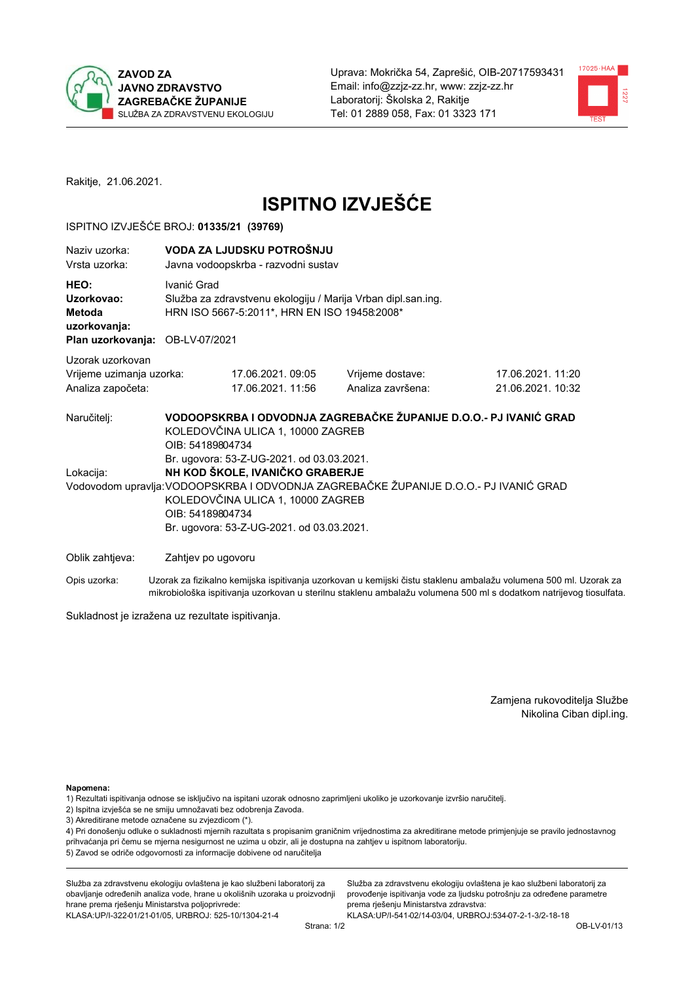



Rakitje, 21.06.2021.

# **ISPITNO IZVJEŠĆE**

## ISPITNO IZVJEŠĆE BROJ: 01335/21 (39769)

| Naziv uzorka:<br>Vrsta uzorka:                                                  |                                                                                                                                                                                                                                                                             | VODA ZA LJUDSKU POTROŠNJU<br>Javna vodoopskrba - razvodni sustav                                             |                                                                   |                                       |  |
|---------------------------------------------------------------------------------|-----------------------------------------------------------------------------------------------------------------------------------------------------------------------------------------------------------------------------------------------------------------------------|--------------------------------------------------------------------------------------------------------------|-------------------------------------------------------------------|---------------------------------------|--|
| HEO:<br>Uzorkovao:<br>Metoda<br>uzorkovanja:<br>Plan uzorkovanja: OB-LV-07/2021 | Ivanić Grad                                                                                                                                                                                                                                                                 | Služba za zdravstvenu ekologiju / Marija Vrban dipl.san.ing.<br>HRN ISO 5667-5:2011*, HRN EN ISO 19458:2008* |                                                                   |                                       |  |
| Uzorak uzorkovan<br>Vrijeme uzimanja uzorka:<br>Analiza započeta:               |                                                                                                                                                                                                                                                                             | 17.06.2021.09:05<br>17.06.2021.11:56                                                                         | Vrijeme dostave:<br>Analiza završena:                             | 17.06.2021.11:20<br>21.06.2021. 10:32 |  |
| Naručitelj:                                                                     | OIB: 54189804734                                                                                                                                                                                                                                                            | KOLEDOVČINA ULICA 1, 10000 ZAGREB                                                                            | VODOOPSKRBA I ODVODNJA ZAGREBAČKE ŽUPANIJE D.O.O.- PJ IVANIĆ GRAD |                                       |  |
| Lokacija:                                                                       | Br. ugovora: 53-Z-UG-2021. od 03.03.2021.<br>NH KOD ŠKOLE, IVANIČKO GRABERJE<br>Vodovodom upravlja: VODOOPSKRBA I ODVODNJA ZAGREBAČKE ŽUPANIJE D.O.O.- PJ IVANIĆ GRAD<br>KOLEDOVČINA ULICA 1, 10000 ZAGREB<br>OIB: 54189804734<br>Br. ugovora: 53-Z-UG-2021. od 03.03.2021. |                                                                                                              |                                                                   |                                       |  |
| Oblik zahtjeva:                                                                 | Zahtjev po ugovoru                                                                                                                                                                                                                                                          |                                                                                                              |                                                                   |                                       |  |

Opis uzorka: Uzorak za fizikalno kemijska ispitivanja uzorkovan u kemijski čistu staklenu ambalažu volumena 500 ml. Uzorak za mikrobiološka ispitivanja uzorkovan u sterilnu staklenu ambalažu volumena 500 ml s dodatkom natrijevog tiosulfata.

Sukladnost je izražena uz rezultate ispitivanja.

Zamjena rukovoditelja Službe Nikolina Ciban dipl.ing.

Napomena:

1) Rezultati ispitivanja odnose se isključivo na ispitani uzorak odnosno zaprimljeni ukoliko je uzorkovanje izvršio naručitelj.

- 2) Ispitna izvješća se ne smiju umnožavati bez odobrenja Zavoda.
- 3) Akreditirane metode označene su zvjezdicom (\*).

4) Pri donošenju odluke o sukladnosti mjernih razultata s propisanim graničnim vrijednostima za akreditirane metode primjenjuje se pravilo jednostavnog prihvaćanja pri čemu se mjerna nesigurnost ne uzima u obzir, ali je dostupna na zahtjev u ispitnom laboratoriju. 5) Zavod se odriče odgovornosti za informacije dobivene od naručitelja

Služba za zdravstvenu ekologiju ovlaštena je kao službeni laboratorij za obavljanje određenih analiza vode, hrane u okolišnih uzoraka u proizvodnji hrane prema rješenju Ministarstva poljoprivrede: KLASA: UP/I-322-01/21-01/05, URBROJ: 525-10/1304-21-4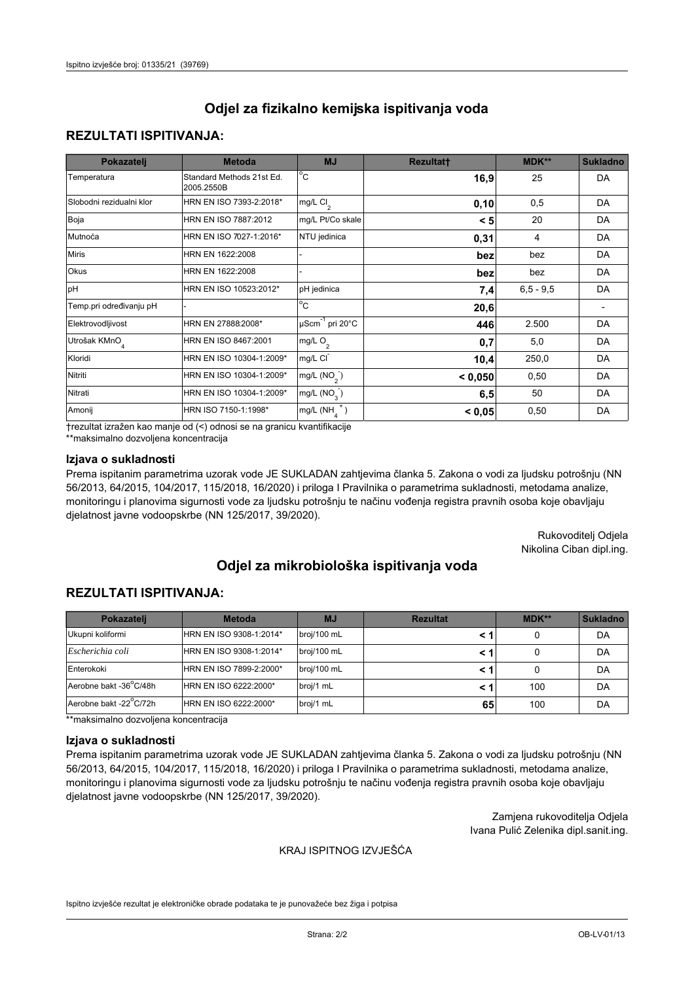# **REZULTATI ISPITIVANJA:**

| Pokazatelj                | <b>Metoda</b>                           | <b>MJ</b>                                | <b>Rezultatt</b> | <b>MDK**</b> | <b>Sukladno</b> |
|---------------------------|-----------------------------------------|------------------------------------------|------------------|--------------|-----------------|
| Temperatura               | Standard Methods 21st Ed.<br>2005.2550B | $\overline{C}$                           | 16,9             | 25           | DA              |
| Slobodni rezidualni klor  | HRN EN ISO 7393-2:2018*                 | $\overline{\text{mg/L}}$ Cl <sub>2</sub> | 0, 10            | 0,5          | DA              |
| Boja                      | HRN EN ISO 7887:2012                    | mg/L Pt/Co skale                         | < 5              | 20           | DA              |
| Mutnoća                   | HRN EN ISO 7027-1:2016*                 | NTU jedinica                             | 0,31             | 4            | DA              |
| <b>Miris</b>              | HRN EN 1622:2008                        |                                          | bez              | bez          | DA              |
| Okus                      | HRN EN 1622:2008                        |                                          | bez              | bez          | DA              |
| pH                        | HRN EN ISO 10523:2012*                  | pH jedinica                              | 7,4              | $6.5 - 9.5$  | DA              |
| Temp.pri određivanju pH   |                                         | $\overline{c}$                           | 20,6             |              |                 |
| Elektrovodljivost         | HRN EN 27888:2008*                      | $\mu$ Scm <sup>-1</sup> pri 20°C         | 446              | 2.500        | DA              |
| Utrošak KMnO <sub>4</sub> | HRN EN ISO 8467:2001                    | mg/L $O_2$                               | 0,7              | 5,0          | DA              |
| Kloridi                   | HRN EN ISO 10304-1:2009*                | mg/L CI                                  | 10,4             | 250,0        | DA              |
| Nitriti                   | HRN EN ISO 10304-1:2009*                | mg/L $(NO2)$                             | < 0,050          | 0,50         | DA              |
| Nitrati                   | HRN EN ISO 10304-1:2009*                | mg/L $(NO3)$                             | 6,5              | 50           | DA              |
| Amonij                    | HRN ISO 7150-1:1998*                    | mg/L $(NH_{\lambda}^{\dagger})$          | < 0,05           | 0,50         | DA              |

trezultat izražen kao manje od (<) odnosi se na granicu kvantifikacije

\*\*maksimalno dozvoljena koncentracija

## Izjava o sukladnosti

Prema ispitanim parametrima uzorak vode JE SUKLADAN zahtjevima članka 5. Zakona o vodi za ljudsku potrošnju (NN 56/2013, 64/2015, 104/2017, 115/2018, 16/2020) i priloga I Pravilnika o parametrima sukladnosti, metodama analize, monitoringu i planovima sigurnosti vode za ljudsku potrošnju te načinu vođenja registra pravnih osoba koje obavljaju djelatnost javne vodoopskrbe (NN 125/2017, 39/2020).

> Rukovoditelj Odjela Nikolina Ciban dipl.ing.

# Odjel za mikrobiološka ispitivanja voda

# **REZULTATI ISPITIVANJA:**

| Pokazatelj             | <b>Metoda</b>           | <b>MJ</b>   | <b>Rezultat</b> | <b>MDK**</b> | <b>Sukladno</b> |
|------------------------|-------------------------|-------------|-----------------|--------------|-----------------|
| Ukupni koliformi       | HRN EN ISO 9308-1:2014* | broj/100 mL |                 |              | DA              |
| Escherichia coli       | HRN EN ISO 9308-1:2014* | broj/100 mL |                 |              | DA              |
| Enterokoki             | HRN EN ISO 7899-2:2000* | broj/100 mL |                 |              | DA              |
| Aerobne bakt -36°C/48h | HRN EN ISO 6222:2000*   | broj/1 mL   |                 | 100          | DA              |
| Aerobne bakt -22°C/72h | HRN EN ISO 6222:2000*   | broj/1 mL   | 65              | 100          | DA              |

\*\*maksimalno dozvoljena koncentracija

#### Izjava o sukladnosti

Prema ispitanim parametrima uzorak vode JE SUKLADAN zahtjevima članka 5. Zakona o vodi za ljudsku potrošnju (NN 56/2013, 64/2015, 104/2017, 115/2018, 16/2020) i priloga I Pravilnika o parametrima sukladnosti, metodama analize, monitoringu i planovima sigurnosti vode za ljudsku potrošnju te načinu vođenja registra pravnih osoba koje obavljaju djelatnost javne vodoopskrbe (NN 125/2017, 39/2020).

> Zamjena rukovoditelja Odjela Ivana Pulić Zelenika dipl.sanit.ing.

### KRAJ ISPITNOG IZVJEŠĆA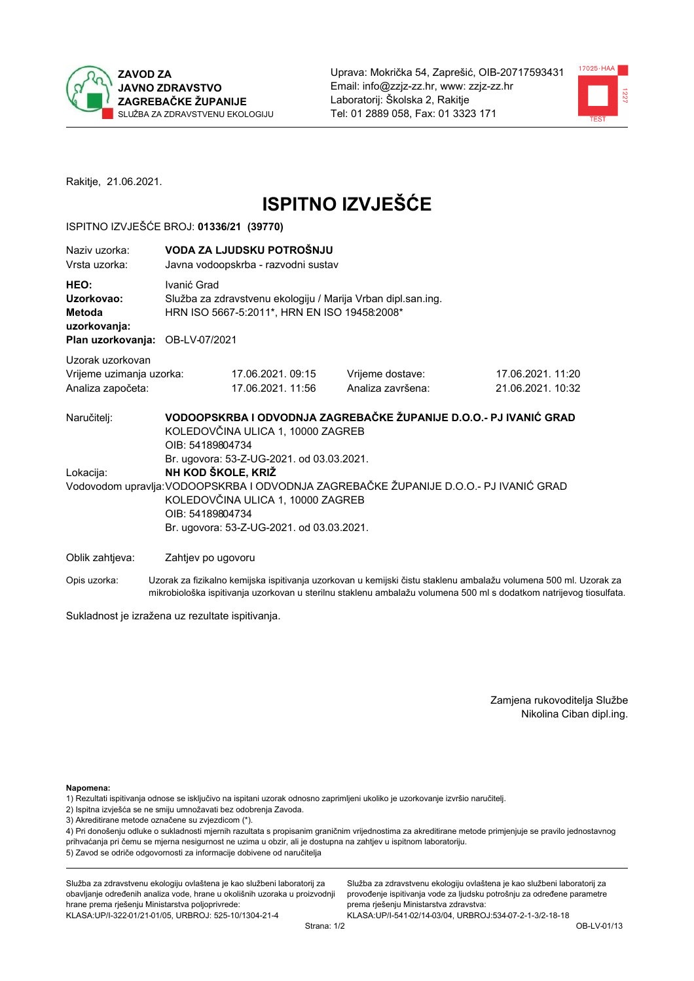



Rakitje, 21.06.2021.

# **ISPITNO IZVJEŠĆE**

## ISPITNO IZVJEŠĆE BROJ: 01336/21 (39770)

| Naziv uzorka:<br>Vrsta uzorka:                                                  | VODA ZA LJUDSKU POTROŠNJU<br>Javna vodoopskrba - razvodni sustav                                                                                                                                                                                                                                                                                                                             |                                       |                                                                                                                  |  |  |  |
|---------------------------------------------------------------------------------|----------------------------------------------------------------------------------------------------------------------------------------------------------------------------------------------------------------------------------------------------------------------------------------------------------------------------------------------------------------------------------------------|---------------------------------------|------------------------------------------------------------------------------------------------------------------|--|--|--|
| HEO:<br>Uzorkovao:<br>Metoda<br>uzorkovanja:<br>Plan uzorkovanja: OB-LV-07/2021 | Ivanić Grad<br>Služba za zdravstvenu ekologiju / Marija Vrban dipl.san.ing.<br>HRN ISO 5667-5:2011*, HRN EN ISO 19458:2008*                                                                                                                                                                                                                                                                  |                                       |                                                                                                                  |  |  |  |
| Uzorak uzorkovan                                                                |                                                                                                                                                                                                                                                                                                                                                                                              |                                       |                                                                                                                  |  |  |  |
| Vrijeme uzimanja uzorka:<br>Analiza započeta:                                   | 17.06.2021, 09:15<br>17.06.2021. 11:56                                                                                                                                                                                                                                                                                                                                                       | Vrijeme dostave:<br>Analiza završena: | 17.06.2021.11:20<br>21.06.2021. 10:32                                                                            |  |  |  |
| Naručitelj:<br>Lokacija:                                                        | VODOOPSKRBA I ODVODNJA ZAGREBAČKE ŽUPANIJE D.O.O.- PJ IVANIĆ GRAD<br>KOLEDOVČINA ULICA 1, 10000 ZAGREB<br>OIB: 54189804734<br>Br. ugovora: 53-Z-UG-2021. od 03.03.2021.<br>NH KOD ŠKOLE, KRIŽ<br>Vodovodom upravlja: VODOOPSKRBA I ODVODNJA ZAGREBAČKE ŽUPANIJE D.O.O.- PJ IVANIĆ GRAD<br>KOLEDOVČINA ULICA 1, 10000 ZAGREB<br>OIB: 54189804734<br>Br. ugovora: 53-Z-UG-2021. od 03.03.2021. |                                       |                                                                                                                  |  |  |  |
| Oblik zahtjeva:                                                                 | Zahtjev po ugovoru                                                                                                                                                                                                                                                                                                                                                                           |                                       |                                                                                                                  |  |  |  |
| Opis uzorka:                                                                    |                                                                                                                                                                                                                                                                                                                                                                                              |                                       | Uzorak za fizikalno kemijska ispitivanja uzorkovan u kemijski čistu staklenu ambalažu volumena 500 ml. Uzorak za |  |  |  |

mikrobiološka ispitivanja uzorkovan u sterilnu staklenu ambalažu volumena 500 ml s dodatkom natrijevog tiosulfata.

Sukladnost je izražena uz rezultate ispitivanja.

Zamjena rukovoditelja Službe Nikolina Ciban dipl.ing.

Napomena:

1) Rezultati ispitivanja odnose se isključivo na ispitani uzorak odnosno zaprimljeni ukoliko je uzorkovanje izvršio naručitelj.

- 2) Ispitna izvješća se ne smiju umnožavati bez odobrenja Zavoda.
- 3) Akreditirane metode označene su zvjezdicom (\*).

4) Pri donošenju odluke o sukladnosti mjernih razultata s propisanim graničnim vrijednostima za akreditirane metode primjenjuje se pravilo jednostavnog prihvaćanja pri čemu se mjerna nesigurnost ne uzima u obzir, ali je dostupna na zahtjev u ispitnom laboratoriju. 5) Zavod se odriče odgovornosti za informacije dobivene od naručitelja

Služba za zdravstvenu ekologiju ovlaštena je kao službeni laboratorij za obavljanje određenih analiza vode, hrane u okolišnih uzoraka u proizvodnji hrane prema rješenju Ministarstva poljoprivrede: KLASA: UP/I-322-01/21-01/05, URBROJ: 525-10/1304-21-4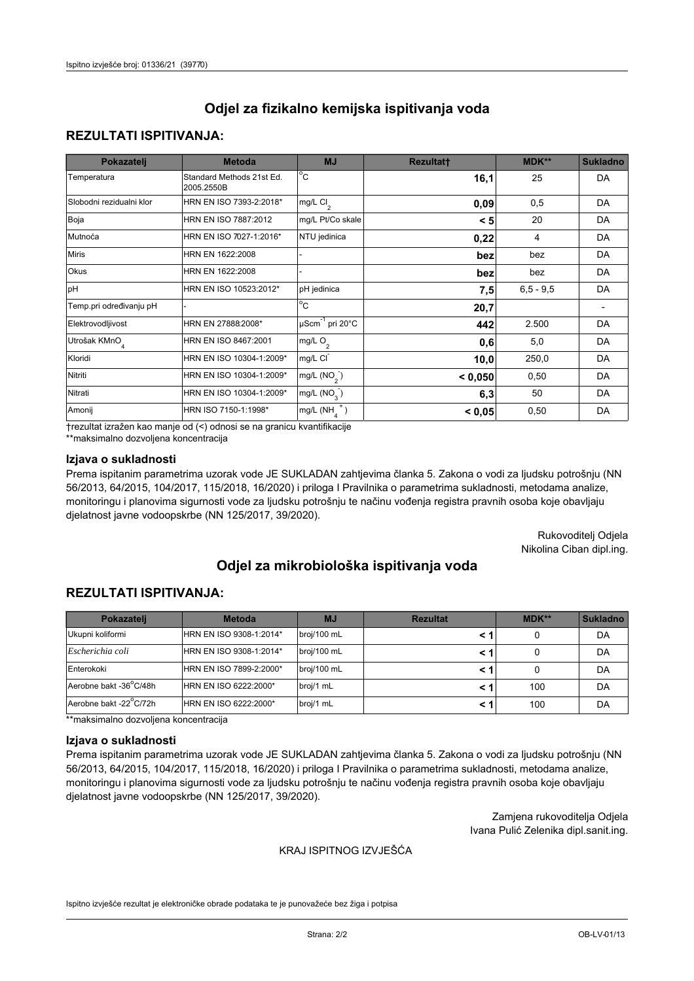# **REZULTATI ISPITIVANJA:**

| Pokazatelj                | <b>Metoda</b>                           | <b>MJ</b>                        | <b>Rezultatt</b> | MDK**       | <b>Sukladno</b> |
|---------------------------|-----------------------------------------|----------------------------------|------------------|-------------|-----------------|
| Temperatura               | Standard Methods 21st Ed.<br>2005.2550B | $^{\circ}$ C                     | 16,1             | 25          | DA              |
| Slobodni rezidualni klor  | HRN EN ISO 7393-2:2018*                 | mg/L $Cl2$                       | 0,09             | 0,5         | DA              |
| Boja                      | HRN EN ISO 7887:2012                    | mg/L Pt/Co skale                 | < 5              | 20          | DA              |
| Mutnoća                   | HRN EN ISO 7027-1:2016*                 | NTU jedinica                     | 0,22             | 4           | DA              |
| <b>Miris</b>              | HRN EN 1622:2008                        |                                  | bez              | bez         | DA              |
| Okus                      | HRN EN 1622:2008                        |                                  | bez              | bez         | DA              |
| pH                        | HRN EN ISO 10523:2012*                  | pH jedinica                      | 7,5              | $6,5 - 9,5$ | DA              |
| Temp.pri određivanju pH   |                                         | $\overline{c}$                   | 20,7             |             |                 |
| Elektrovodljivost         | HRN EN 27888:2008*                      | $\mu$ Scm <sup>-1</sup> pri 20°C | 442              | 2.500       | DA              |
| Utrošak KMnO <sub>4</sub> | HRN EN ISO 8467:2001                    | mg/L O <sub>2</sub>              | 0,6              | 5,0         | DA              |
| Kloridi                   | HRN EN ISO 10304-1:2009*                | mg/L CI                          | 10,0             | 250,0       | DA              |
| Nitriti                   | HRN EN ISO 10304-1:2009*                | mg/L (NO <sub>2</sub> )          | < 0,050          | 0,50        | DA              |
| Nitrati                   | HRN EN ISO 10304-1:2009*                | mg/L (NO <sub>3</sub> )          | 6,3              | 50          | DA              |
| Amonij                    | HRN ISO 7150-1:1998*                    | $mg/L(NH_A^+)$                   | < 0,05           | 0,50        | DA              |

trezultat izražen kao manje od (<) odnosi se na granicu kvantifikacije

\*\*maksimalno dozvoljena koncentracija

### Izjava o sukladnosti

Prema ispitanim parametrima uzorak vode JE SUKLADAN zahtjevima članka 5. Zakona o vodi za ljudsku potrošnju (NN 56/2013, 64/2015, 104/2017, 115/2018, 16/2020) i priloga I Pravilnika o parametrima sukladnosti, metodama analize, monitoringu i planovima sigurnosti vode za ljudsku potrošnju te načinu vođenja registra pravnih osoba koje obavljaju djelatnost javne vodoopskrbe (NN 125/2017, 39/2020).

> Rukovoditelj Odjela Nikolina Ciban dipl.ing.

# Odjel za mikrobiološka ispitivanja voda

# **REZULTATI ISPITIVANJA:**

| Pokazateli             | <b>Metoda</b>           | <b>MJ</b>   | <b>Rezultat</b> | <b>MDK**</b> | <b>Sukladno</b> |
|------------------------|-------------------------|-------------|-----------------|--------------|-----------------|
| Ukupni koliformi       | HRN EN ISO 9308-1:2014* | broj/100 mL |                 |              | DA              |
| Escherichia coli       | HRN EN ISO 9308-1:2014* | broj/100 mL |                 |              | DA              |
| Enterokoki             | HRN EN ISO 7899-2:2000* | broj/100 mL |                 |              | DA              |
| Aerobne bakt -36 C/48h | HRN EN ISO 6222:2000*   | broj/1 mL   |                 | 100          | DA              |
| Aerobne bakt -22 C/72h | HRN EN ISO 6222:2000*   | broj/1 mL   |                 | 100          | DA              |

\*\*maksimalno dozvoljena koncentracija

#### Izjava o sukladnosti

Prema ispitanim parametrima uzorak vode JE SUKLADAN zahtjevima članka 5. Zakona o vodi za ljudsku potrošnju (NN 56/2013, 64/2015, 104/2017, 115/2018, 16/2020) i priloga I Pravilnika o parametrima sukladnosti, metodama analize, monitoringu i planovima sigurnosti vode za ljudsku potrošnju te načinu vođenja registra pravnih osoba koje obavljaju djelatnost javne vodoopskrbe (NN 125/2017, 39/2020).

> Zamjena rukovoditelja Odjela Ivana Pulić Zelenika dipl.sanit.ing.

### KRAJ ISPITNOG IZVJEŠĆA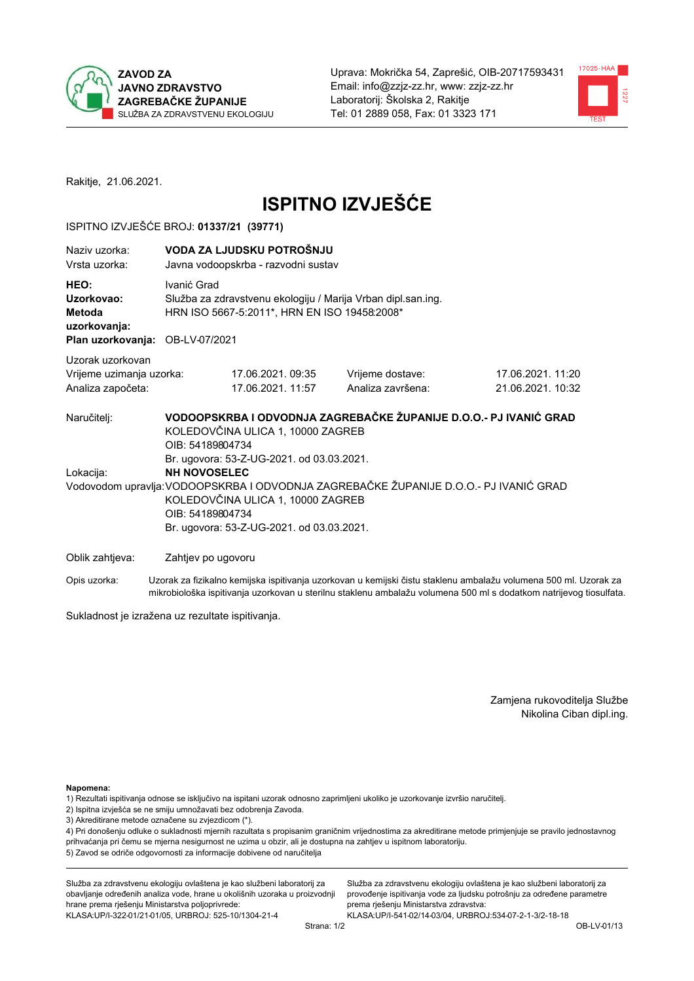



Rakitje, 21.06.2021.

# **ISPITNO IZVJEŠĆE**

## ISPITNO IZVJEŠĆE BROJ: 01337/21 (39771)

| Naziy uzorka:<br>Vrsta uzorka:                                                         |                                                                                                                                                                                                                                                                 | VODA ZA LJUDSKU POTROŠNJU<br>Javna vodoopskrba - razvodni sustav                                             |                                                                   |                                       |  |  |
|----------------------------------------------------------------------------------------|-----------------------------------------------------------------------------------------------------------------------------------------------------------------------------------------------------------------------------------------------------------------|--------------------------------------------------------------------------------------------------------------|-------------------------------------------------------------------|---------------------------------------|--|--|
| HEO:<br>Uzorkovao:<br><b>Metoda</b><br>uzorkovanja:<br>Plan uzorkovanja: OB-LV-07/2021 | Ivanić Grad                                                                                                                                                                                                                                                     | Služba za zdravstvenu ekologiju / Marija Vrban dipl.san.ing.<br>HRN ISO 5667-5:2011*, HRN EN ISO 19458:2008* |                                                                   |                                       |  |  |
| Uzorak uzorkovan<br>Vrijeme uzimanja uzorka:<br>Analiza započeta:                      |                                                                                                                                                                                                                                                                 | 17.06.2021.09:35<br>17.06.2021. 11:57                                                                        | Vrijeme dostave:<br>Analiza završena:                             | 17.06.2021.11:20<br>21.06.2021. 10:32 |  |  |
| Naručitelj:                                                                            | OIB: 54189804734                                                                                                                                                                                                                                                | KOLEDOVČINA ULICA 1, 10000 ZAGREB                                                                            | VODOOPSKRBA I ODVODNJA ZAGREBAČKE ŽUPANIJE D.O.O.- PJ IVANIĆ GRAD |                                       |  |  |
| Lokacija:                                                                              | Br. ugovora: 53-Z-UG-2021. od 03.03.2021.<br><b>NH NOVOSELEC</b><br>Vodovodom upravlja: VODOOPSKRBA I ODVODNJA ZAGREBAČKE ŽUPANIJE D.O.O.- PJ IVANIĆ GRAD<br>KOLEDOVČINA ULICA 1, 10000 ZAGREB<br>OIB: 54189804734<br>Br. ugovora: 53-Z-UG-2021. od 03.03.2021. |                                                                                                              |                                                                   |                                       |  |  |
| Oblik zahtjeva:                                                                        | Zahtjev po ugovoru                                                                                                                                                                                                                                              |                                                                                                              |                                                                   |                                       |  |  |
|                                                                                        |                                                                                                                                                                                                                                                                 |                                                                                                              |                                                                   |                                       |  |  |

Opis uzorka: Uzorak za fizikalno kemijska ispitivanja uzorkovan u kemijski čistu staklenu ambalažu volumena 500 ml. Uzorak za mikrobiološka ispitivanja uzorkovan u sterilnu staklenu ambalažu volumena 500 ml s dodatkom natrijevog tiosulfata.

Sukladnost je izražena uz rezultate ispitivanja.

Zamjena rukovoditelja Službe Nikolina Ciban dipl.ing.

Napomena:

1) Rezultati ispitivanja odnose se isključivo na ispitani uzorak odnosno zaprimljeni ukoliko je uzorkovanje izvršio naručitelj.

- 2) Ispitna izvješća se ne smiju umnožavati bez odobrenja Zavoda.
- 3) Akreditirane metode označene su zvjezdicom (\*).

4) Pri donošenju odluke o sukladnosti mjernih razultata s propisanim graničnim vrijednostima za akreditirane metode primjenjuje se pravilo jednostavnog prihvaćanja pri čemu se mjerna nesigurnost ne uzima u obzir, ali je dostupna na zahtjev u ispitnom laboratoriju. 5) Zavod se odriče odgovornosti za informacije dobivene od naručitelja

Služba za zdravstvenu ekologiju ovlaštena je kao službeni laboratorij za obavljanje određenih analiza vode, hrane u okolišnih uzoraka u proizvodnji hrane prema rješenju Ministarstva poljoprivrede: KLASA.UP/I-322-01/21-01/05, URBROJ: 525-10/1304-21-4